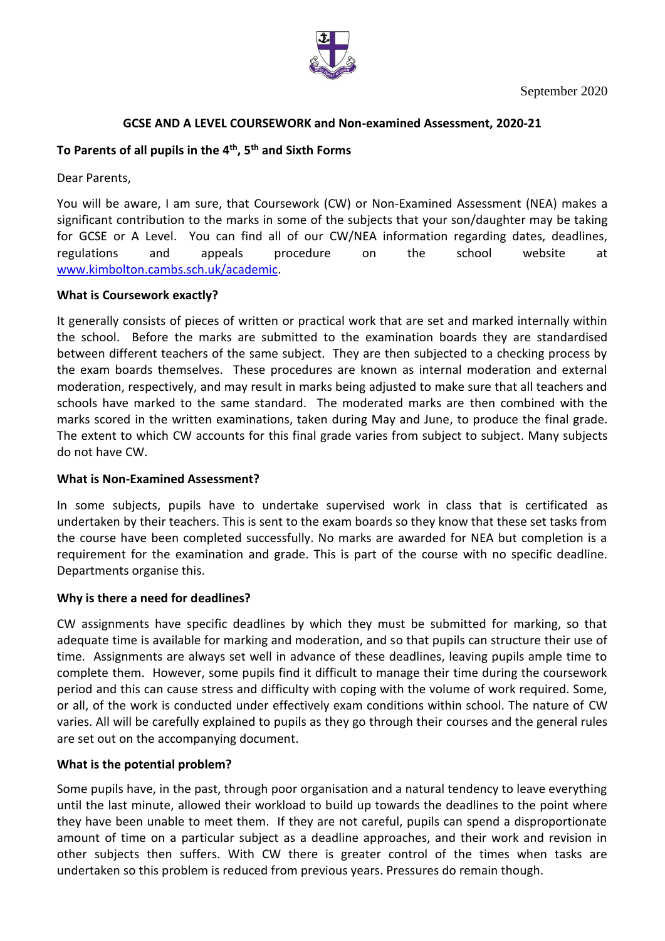

## **GCSE AND A LEVEL COURSEWORK and Non-examined Assessment, 2020-21**

# **To Parents of all pupils in the 4 th , 5 th and Sixth Forms**

Dear Parents,

You will be aware, I am sure, that Coursework (CW) or Non-Examined Assessment (NEA) makes a significant contribution to the marks in some of the subjects that your son/daughter may be taking for GCSE or A Level. You can find all of our CW/NEA information regarding dates, deadlines, regulations and appeals procedure on the school website at [www.kimbolton.cambs.sch.uk/academic.](http://www.kimbolton.cambs.sch.uk/academic)

### **What is Coursework exactly?**

It generally consists of pieces of written or practical work that are set and marked internally within the school. Before the marks are submitted to the examination boards they are standardised between different teachers of the same subject. They are then subjected to a checking process by the exam boards themselves. These procedures are known as internal moderation and external moderation, respectively, and may result in marks being adjusted to make sure that all teachers and schools have marked to the same standard. The moderated marks are then combined with the marks scored in the written examinations, taken during May and June, to produce the final grade. The extent to which CW accounts for this final grade varies from subject to subject. Many subjects do not have CW.

### **What is Non-Examined Assessment?**

In some subjects, pupils have to undertake supervised work in class that is certificated as undertaken by their teachers. This is sent to the exam boards so they know that these set tasks from the course have been completed successfully. No marks are awarded for NEA but completion is a requirement for the examination and grade. This is part of the course with no specific deadline. Departments organise this.

### **Why is there a need for deadlines?**

CW assignments have specific deadlines by which they must be submitted for marking, so that adequate time is available for marking and moderation, and so that pupils can structure their use of time. Assignments are always set well in advance of these deadlines, leaving pupils ample time to complete them. However, some pupils find it difficult to manage their time during the coursework period and this can cause stress and difficulty with coping with the volume of work required. Some, or all, of the work is conducted under effectively exam conditions within school. The nature of CW varies. All will be carefully explained to pupils as they go through their courses and the general rules are set out on the accompanying document.

### **What is the potential problem?**

Some pupils have, in the past, through poor organisation and a natural tendency to leave everything until the last minute, allowed their workload to build up towards the deadlines to the point where they have been unable to meet them. If they are not careful, pupils can spend a disproportionate amount of time on a particular subject as a deadline approaches, and their work and revision in other subjects then suffers. With CW there is greater control of the times when tasks are undertaken so this problem is reduced from previous years. Pressures do remain though.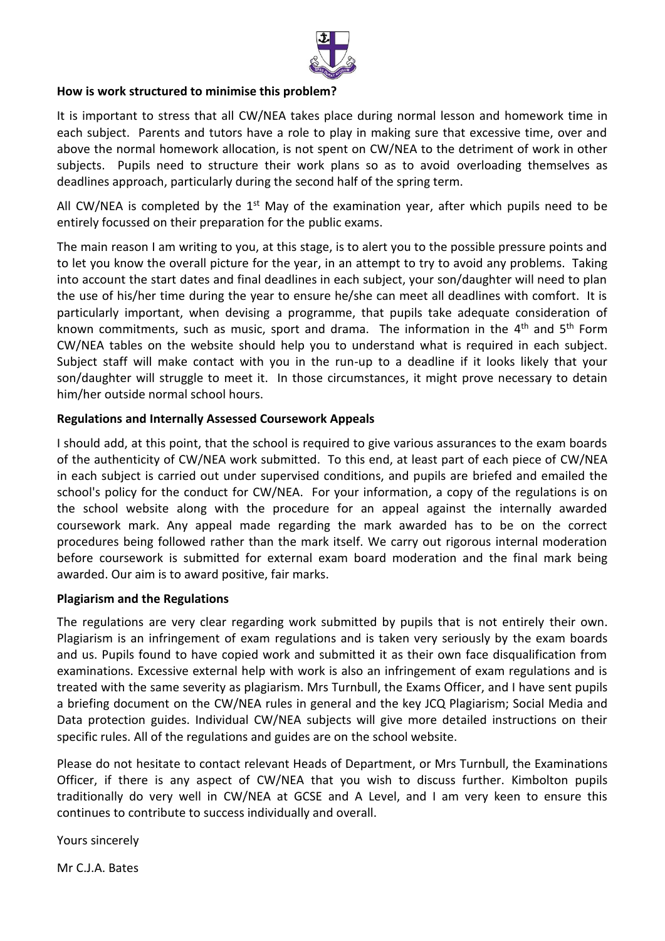

#### **How is work structured to minimise this problem?**

It is important to stress that all CW/NEA takes place during normal lesson and homework time in each subject. Parents and tutors have a role to play in making sure that excessive time, over and above the normal homework allocation, is not spent on CW/NEA to the detriment of work in other subjects. Pupils need to structure their work plans so as to avoid overloading themselves as deadlines approach, particularly during the second half of the spring term.

All CW/NEA is completed by the  $1<sup>st</sup>$  May of the examination year, after which pupils need to be entirely focussed on their preparation for the public exams.

The main reason I am writing to you, at this stage, is to alert you to the possible pressure points and to let you know the overall picture for the year, in an attempt to try to avoid any problems. Taking into account the start dates and final deadlines in each subject, your son/daughter will need to plan the use of his/her time during the year to ensure he/she can meet all deadlines with comfort. It is particularly important, when devising a programme, that pupils take adequate consideration of known commitments, such as music, sport and drama. The information in the 4<sup>th</sup> and 5<sup>th</sup> Form CW/NEA tables on the website should help you to understand what is required in each subject. Subject staff will make contact with you in the run-up to a deadline if it looks likely that your son/daughter will struggle to meet it. In those circumstances, it might prove necessary to detain him/her outside normal school hours.

### **Regulations and Internally Assessed Coursework Appeals**

I should add, at this point, that the school is required to give various assurances to the exam boards of the authenticity of CW/NEA work submitted. To this end, at least part of each piece of CW/NEA in each subject is carried out under supervised conditions, and pupils are briefed and emailed the school's policy for the conduct for CW/NEA. For your information, a copy of the regulations is on the school website along with the procedure for an appeal against the internally awarded coursework mark. Any appeal made regarding the mark awarded has to be on the correct procedures being followed rather than the mark itself. We carry out rigorous internal moderation before coursework is submitted for external exam board moderation and the final mark being awarded. Our aim is to award positive, fair marks.

### **Plagiarism and the Regulations**

The regulations are very clear regarding work submitted by pupils that is not entirely their own. Plagiarism is an infringement of exam regulations and is taken very seriously by the exam boards and us. Pupils found to have copied work and submitted it as their own face disqualification from examinations. Excessive external help with work is also an infringement of exam regulations and is treated with the same severity as plagiarism. Mrs Turnbull, the Exams Officer, and I have sent pupils a briefing document on the CW/NEA rules in general and the key JCQ Plagiarism; Social Media and Data protection guides. Individual CW/NEA subjects will give more detailed instructions on their specific rules. All of the regulations and guides are on the school website.

Please do not hesitate to contact relevant Heads of Department, or Mrs Turnbull, the Examinations Officer, if there is any aspect of CW/NEA that you wish to discuss further. Kimbolton pupils traditionally do very well in CW/NEA at GCSE and A Level, and I am very keen to ensure this continues to contribute to success individually and overall.

Yours sincerely

Mr C.J.A. Bates